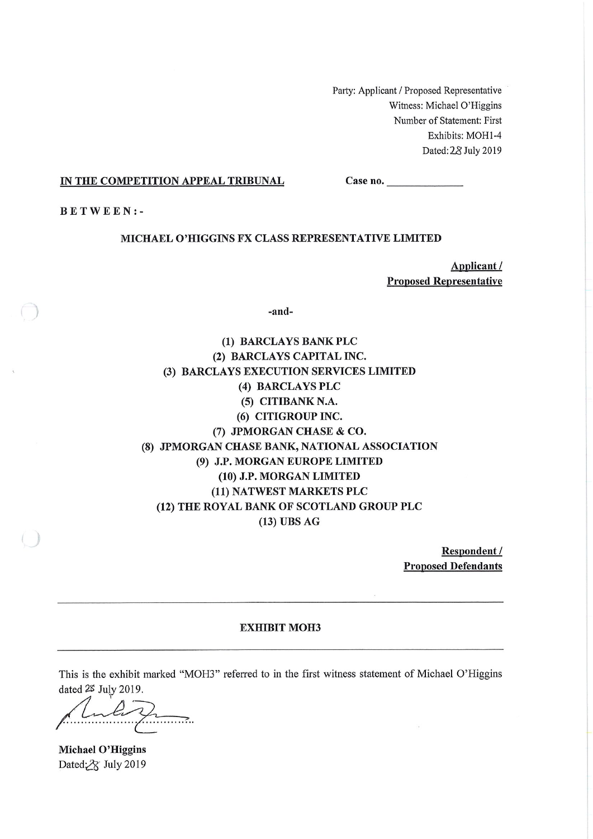Party: Applicant / Proposed Representative Witness: Michael O'Higgins Number of Statement: First Exhibits: MOH1-4 Dated: 28 July 2019

### IN THE COMPETITION APPEAL TRIBUNAL

 $Case no.$ 

**BETWEEN:-**

### MICHAEL O'HIGGINS FX CLASS REPRESENTATIVE LIMITED

Applicant/ **Proposed Representative** 

-and-

(1) BARCLAYS BANK PLC (2) BARCLAYS CAPITAL INC. (3) BARCLAYS EXECUTION SERVICES LIMITED (4) BARCLAYS PLC (5) CITIBANK N.A. (6) CITIGROUP INC. (7) JPMORGAN CHASE & CO. (8) JPMORGAN CHASE BANK, NATIONAL ASSOCIATION (9) J.P. MORGAN EUROPE LIMITED (10) J.P. MORGAN LIMITED (11) NATWEST MARKETS PLC (12) THE ROYAL BANK OF SCOTLAND GROUP PLC  $(13)$  UBS AG

> Respondent / **Proposed Defendants**

> > $\mathcal{G}_{\mathcal{F}}$

### **EXHIBIT MOH3**

This is the exhibit marked "MOH3" referred to in the first witness statement of Michael O'Higgins dated 2\$ July 2019.

 $\mathcal{P}_{\text{max}}$ 

**Michael O'Higgins** Dated: 28 July 2019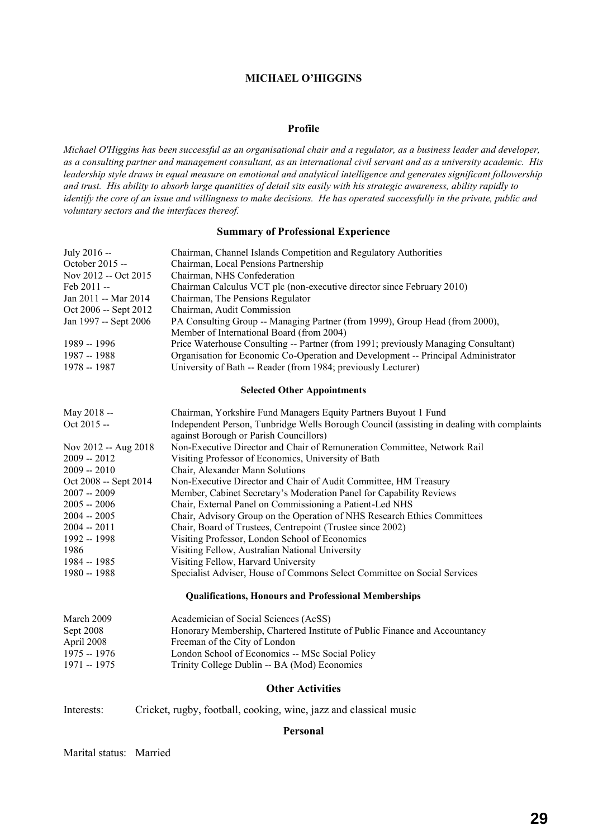### **MICHAEL O'HIGGINS**

### **Profile**

*Michael O'Higgins has been successful as an organisational chair and a regulator, as a business leader and developer, as a consulting partner and management consultant, as an international civil servant and as a university academic. His leadership style draws in equal measure on emotional and analytical intelligence and generates significant followership and trust. His ability to absorb large quantities of detail sits easily with his strategic awareness, ability rapidly to identify the core of an issue and willingness to make decisions. He has operated successfully in the private, public and voluntary sectors and the interfaces thereof.*

### **Summary of Professional Experience**

| July 2016 --          | Chairman, Channel Islands Competition and Regulatory Authorities                                                                    |
|-----------------------|-------------------------------------------------------------------------------------------------------------------------------------|
| October 2015 --       | Chairman, Local Pensions Partnership                                                                                                |
| Nov 2012 -- Oct 2015  | Chairman, NHS Confederation                                                                                                         |
| Feb 2011 --           | Chairman Calculus VCT plc (non-executive director since February 2010)                                                              |
| Jan 2011 -- Mar 2014  | Chairman, The Pensions Regulator                                                                                                    |
| Oct 2006 -- Sept 2012 | Chairman, Audit Commission                                                                                                          |
| Jan 1997 -- Sept 2006 | PA Consulting Group -- Managing Partner (from 1999), Group Head (from 2000),<br>Member of International Board (from 2004)           |
| 1989 -- 1996          | Price Waterhouse Consulting -- Partner (from 1991; previously Managing Consultant)                                                  |
| 1987 -- 1988          | Organisation for Economic Co-Operation and Development -- Principal Administrator                                                   |
| 1978 -- 1987          | University of Bath -- Reader (from 1984; previously Lecturer)                                                                       |
|                       | <b>Selected Other Appointments</b>                                                                                                  |
| May 2018 --           | Chairman, Yorkshire Fund Managers Equity Partners Buyout 1 Fund                                                                     |
| Oct 2015 --           | Independent Person, Tunbridge Wells Borough Council (assisting in dealing with complaints<br>against Borough or Parish Councillors) |
| Nov 2012 -- Aug 2018  | Non-Executive Director and Chair of Remuneration Committee, Network Rail                                                            |
| $2009 - 2012$         | Visiting Professor of Economics, University of Bath                                                                                 |
| $2009 - 2010$         | Chair, Alexander Mann Solutions                                                                                                     |
| Oct 2008 -- Sept 2014 | Non-Executive Director and Chair of Audit Committee, HM Treasury                                                                    |
| $2007 - 2009$         | Member, Cabinet Secretary's Moderation Panel for Capability Reviews                                                                 |
| $2005 - 2006$         | Chair, External Panel on Commissioning a Patient-Led NHS                                                                            |
| $2004 - 2005$         | Chair, Advisory Group on the Operation of NHS Research Ethics Committees                                                            |
| $2004 - 2011$         | Chair, Board of Trustees, Centrepoint (Trustee since 2002)                                                                          |
| 1992 -- 1998          | Visiting Professor, London School of Economics                                                                                      |
| 1986                  | Visiting Fellow, Australian National University                                                                                     |
| 1984 -- 1985          | Visiting Fellow, Harvard University                                                                                                 |
| 1980 -- 1988          | Specialist Adviser, House of Commons Select Committee on Social Services                                                            |
|                       | <b>Qualifications, Honours and Professional Memberships</b>                                                                         |
| March 2009            | Academician of Social Sciences (AcSS)                                                                                               |
| Sept 2008             | Honorary Membership, Chartered Institute of Public Finance and Accountancy                                                          |
| April 2008            | Freeman of the City of London                                                                                                       |
| 1975 -- 1976          | London School of Economics -- MSc Social Policy                                                                                     |
| 1971 -- 1975          | Trinity College Dublin -- BA (Mod) Economics                                                                                        |
|                       |                                                                                                                                     |

### **Other Activities**

Interests: Cricket, rugby, football, cooking, wine, jazz and classical music

### **Personal**

### Marital status: Married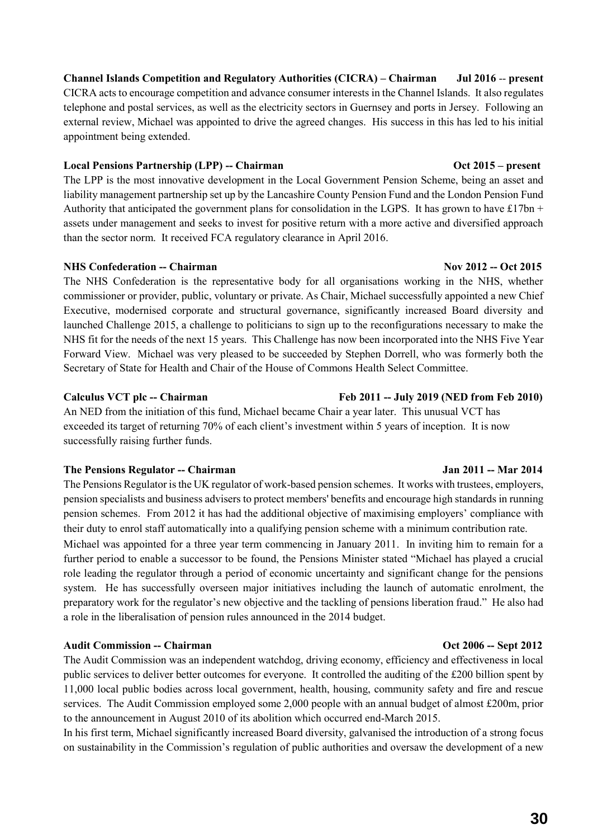**Channel Islands Competition and Regulatory Authorities (CICRA) – Chairman Jul 2016** -- **present** CICRA acts to encourage competition and advance consumer interests in the Channel Islands. It also regulates telephone and postal services, as well as the electricity sectors in Guernsey and ports in Jersey. Following an external review, Michael was appointed to drive the agreed changes. His success in this has led to his initial appointment being extended.

### **Local Pensions Partnership (LPP) -- Chairman Oct 2015 – present**

The LPP is the most innovative development in the Local Government Pension Scheme, being an asset and liability management partnership set up by the Lancashire County Pension Fund and the London Pension Fund Authority that anticipated the government plans for consolidation in the LGPS. It has grown to have £17bn + assets under management and seeks to invest for positive return with a more active and diversified approach than the sector norm. It received FCA regulatory clearance in April 2016.

# **NHS Confederation -- Chairman** Nov 2012 -- Oct 2015

The NHS Confederation is the representative body for all organisations working in the NHS, whether commissioner or provider, public, voluntary or private. As Chair, Michael successfully appointed a new Chief Executive, modernised corporate and structural governance, significantly increased Board diversity and launched Challenge 2015, a challenge to politicians to sign up to the reconfigurations necessary to make the NHS fit for the needs of the next 15 years. This Challenge has now been incorporated into the NHS Five Year Forward View. Michael was very pleased to be succeeded by Stephen Dorrell, who was formerly both the Secretary of State for Health and Chair of the House of Commons Health Select Committee.

An NED from the initiation of this fund, Michael became Chair a year later. This unusual VCT has exceeded its target of returning 70% of each client's investment within 5 years of inception. It is now successfully raising further funds.

# **The Pensions Regulator -- Chairman Jan 2011 -- Mar 2014**

The Pensions Regulator is the UK regulator of work-based pension schemes. It works with trustees, employers, pension specialists and business advisers to protect members' benefits and encourage high standards in running pension schemes. From 2012 it has had the additional objective of maximising employers' compliance with their duty to enrol staff automatically into a qualifying pension scheme with a minimum contribution rate. Michael was appointed for a three year term commencing in January 2011. In inviting him to remain for a further period to enable a successor to be found, the Pensions Minister stated "Michael has played a crucial role leading the regulator through a period of economic uncertainty and significant change for the pensions system. He has successfully overseen major initiatives including the launch of automatic enrolment, the preparatory work for the regulator's new objective and the tackling of pensions liberation fraud." He also had a role in the liberalisation of pension rules announced in the 2014 budget.

# **Audit Commission -- Chairman Commission -- Chairman Commission -- Chairman Commission -- Sept 2012**

The Audit Commission was an independent watchdog, driving economy, efficiency and effectiveness in local public services to deliver better outcomes for everyone. It controlled the auditing of the £200 billion spent by 11,000 local public bodies across local government, health, housing, community safety and fire and rescue services. The Audit Commission employed some 2,000 people with an annual budget of almost £200m, prior to the announcement in August 2010 of its abolition which occurred end-March 2015.

In his first term, Michael significantly increased Board diversity, galvanised the introduction of a strong focus on sustainability in the Commission's regulation of public authorities and oversaw the development of a new

### **Calculus VCT plc -- Chairman Feb 2011 -- July 2019 (NED from Feb 2010)**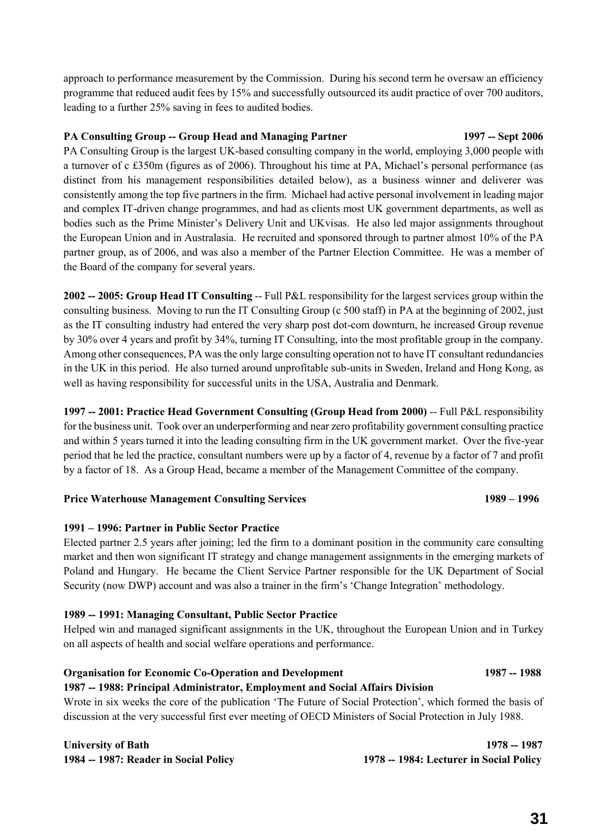approach to performance measurement by the Commission. During his second term he oversaw an efficiency programme that reduced audit fees by 15% and successfully outsourced its audit practice of over 700 auditors, leading to a further 25% saving in fees to audited bodies.

### **PA Consulting Group -- Group Head and Managing Partner 1997 -- Sept 2006**

PA Consulting Group is the largest UK-based consulting company in the world, employing 3,000 people with a turnover of c £350m (figures as of 2006). Throughout his time at PA, Michael's personal performance (as distinct from his management responsibilities detailed below), as a business winner and deliverer was consistently among the top five partners in the firm. Michael had active personal involvement in leading major and complex IT-driven change programmes, and had as clients most UK government departments, as well as bodies such as the Prime Minister's Delivery Unit and UKvisas. He also led major assignments throughout the European Union and in Australasia. He recruited and sponsored through to partner almost 10% of the PA partner group, as of 2006, and was also a member of the Partner Election Committee. He was a member of the Board of the company for several years.

**2002 -- 2005: Group Head IT Consulting** -- Full P&L responsibility for the largest services group within the consulting business. Moving to run the IT Consulting Group (c 500 staff) in PA at the beginning of 2002, just as the IT consulting industry had entered the very sharp post dot-com downturn, he increased Group revenue by 30% over 4 years and profit by 34%, turning IT Consulting, into the most profitable group in the company. Among other consequences, PA was the only large consulting operation not to have IT consultant redundancies in the UK in this period. He also turned around unprofitable sub-units in Sweden, Ireland and Hong Kong, as well as having responsibility for successful units in the USA, Australia and Denmark.

**1997 -- 2001: Practice Head Government Consulting (Group Head from 2000)** -- Full P&L responsibility for the business unit. Took over an underperforming and near zero profitability government consulting practice and within 5 years turned it into the leading consulting firm in the UK government market. Over the five-year period that he led the practice, consultant numbers were up by a factor of 4, revenue by a factor of 7 and profit by a factor of 18. As a Group Head, became a member of the Management Committee of the company.

### **Price Waterhouse Management Consulting Services 1989 – 1996**

# **1991 – 1996: Partner in Public Sector Practice**

Elected partner 2.5 years after joining; led the firm to a dominant position in the community care consulting market and then won significant IT strategy and change management assignments in the emerging markets of Poland and Hungary. He became the Client Service Partner responsible for the UK Department of Social Security (now DWP) account and was also a trainer in the firm's 'Change Integration' methodology.

# **1989 -- 1991: Managing Consultant, Public Sector Practice**

Helped win and managed significant assignments in the UK, throughout the European Union and in Turkey on all aspects of health and social welfare operations and performance.

# **Organisation for Economic Co-Operation and Development 1987 -- 1988**

**1987 -- 1988: Principal Administrator, Employment and Social Affairs Division** Wrote in six weeks the core of the publication 'The Future of Social Protection', which formed the basis of discussion at the very successful first ever meeting of OECD Ministers of Social Protection in July 1988.

**University of Bath 1978 -- 1987 1984 -- 1987: Reader in Social Policy 1978 -- 1984: Lecturer in Social Policy**